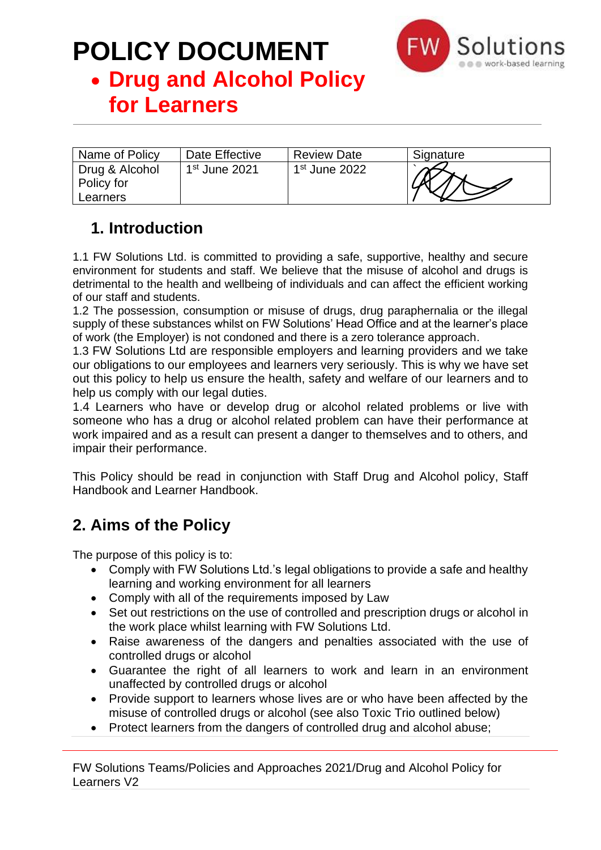

### • **Drug and Alcohol Policy for Learners**

| Name of Policy                           | Date Effective  | <b>Review Date</b> | Signature |
|------------------------------------------|-----------------|--------------------|-----------|
| Drug & Alcohol<br>Policy for<br>Learners | $1st$ June 2021 | $1st$ June 2022    |           |

### **1. Introduction**

1.1 FW Solutions Ltd. is committed to providing a safe, supportive, healthy and secure environment for students and staff. We believe that the misuse of alcohol and drugs is detrimental to the health and wellbeing of individuals and can affect the efficient working of our staff and students.

1.2 The possession, consumption or misuse of drugs, drug paraphernalia or the illegal supply of these substances whilst on FW Solutions' Head Office and at the learner's place of work (the Employer) is not condoned and there is a zero tolerance approach.

1.3 FW Solutions Ltd are responsible employers and learning providers and we take our obligations to our employees and learners very seriously. This is why we have set out this policy to help us ensure the health, safety and welfare of our learners and to help us comply with our legal duties.

1.4 Learners who have or develop drug or alcohol related problems or live with someone who has a drug or alcohol related problem can have their performance at work impaired and as a result can present a danger to themselves and to others, and impair their performance.

This Policy should be read in conjunction with Staff Drug and Alcohol policy, Staff Handbook and Learner Handbook.

### **2. Aims of the Policy**

The purpose of this policy is to:

- Comply with FW Solutions Ltd.'s legal obligations to provide a safe and healthy learning and working environment for all learners
- Comply with all of the requirements imposed by Law
- Set out restrictions on the use of controlled and prescription drugs or alcohol in the work place whilst learning with FW Solutions Ltd.
- Raise awareness of the dangers and penalties associated with the use of controlled drugs or alcohol
- Guarantee the right of all learners to work and learn in an environment unaffected by controlled drugs or alcohol
- Provide support to learners whose lives are or who have been affected by the misuse of controlled drugs or alcohol (see also Toxic Trio outlined below)
- Protect learners from the dangers of controlled drug and alcohol abuse;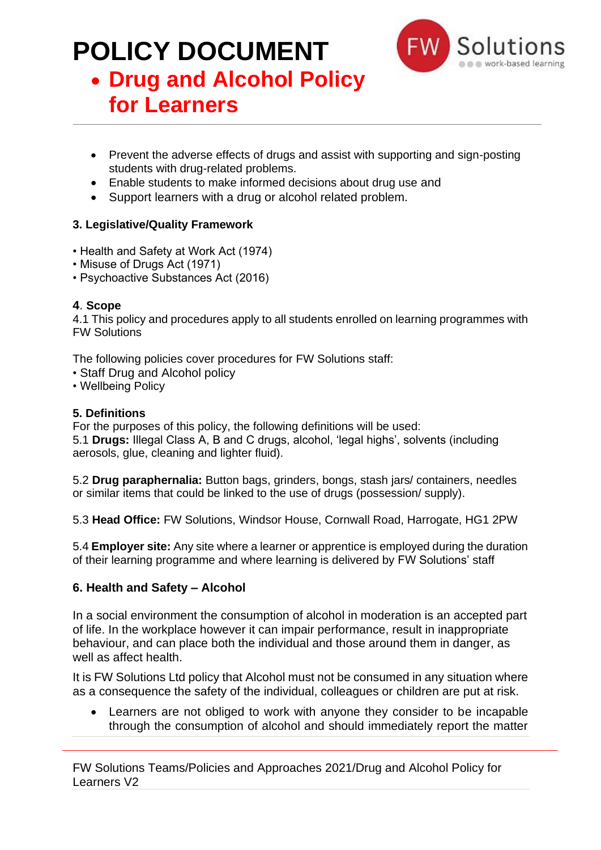

### • **Drug and Alcohol Policy for Learners**

- Prevent the adverse effects of drugs and assist with supporting and sign-posting students with drug-related problems.
- Enable students to make informed decisions about drug use and
- Support learners with a drug or alcohol related problem.

#### **3. Legislative/Quality Framework**

- Health and Safety at Work Act (1974)
- Misuse of Drugs Act (1971)
- Psychoactive Substances Act (2016)

#### **4**. **Scope**

4.1 This policy and procedures apply to all students enrolled on learning programmes with FW Solutions

The following policies cover procedures for FW Solutions staff:

- Staff Drug and Alcohol policy
- Wellbeing Policy

#### **5. Definitions**

For the purposes of this policy, the following definitions will be used: 5.1 **Drugs:** Illegal Class A, B and C drugs, alcohol, 'legal highs', solvents (including aerosols, glue, cleaning and lighter fluid).

5.2 **Drug paraphernalia:** Button bags, grinders, bongs, stash jars/ containers, needles or similar items that could be linked to the use of drugs (possession/ supply).

5.3 **Head Office:** FW Solutions, Windsor House, Cornwall Road, Harrogate, HG1 2PW

5.4 **Employer site:** Any site where a learner or apprentice is employed during the duration of their learning programme and where learning is delivered by FW Solutions' staff

#### **6. Health and Safety – Alcohol**

In a social environment the consumption of alcohol in moderation is an accepted part of life. In the workplace however it can impair performance, result in inappropriate behaviour, and can place both the individual and those around them in danger, as well as affect health.

It is FW Solutions Ltd policy that Alcohol must not be consumed in any situation where as a consequence the safety of the individual, colleagues or children are put at risk.

Learners are not obliged to work with anyone they consider to be incapable through the consumption of alcohol and should immediately report the matter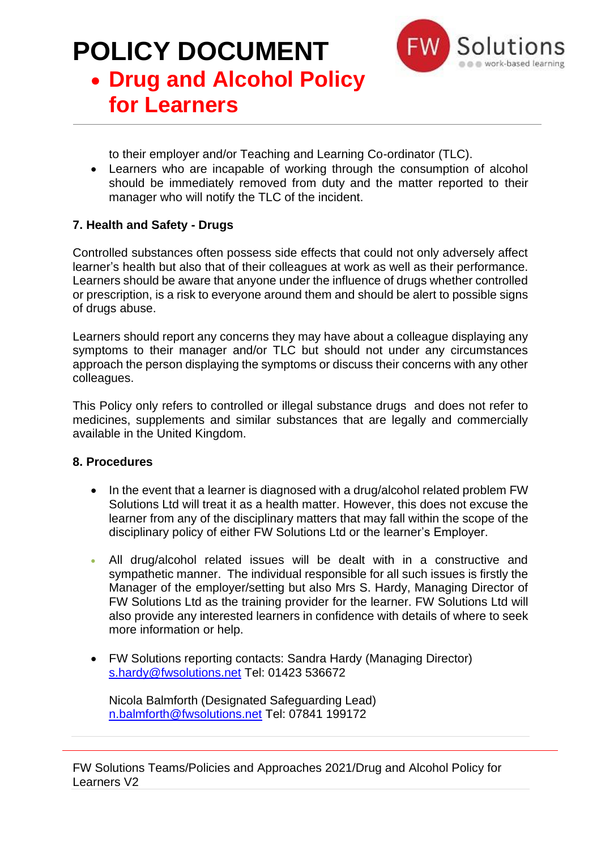

## • **Drug and Alcohol Policy for Learners**

to their employer and/or Teaching and Learning Co-ordinator (TLC).

• Learners who are incapable of working through the consumption of alcohol should be immediately removed from duty and the matter reported to their manager who will notify the TLC of the incident.

#### **7. Health and Safety - Drugs**

Controlled substances often possess side effects that could not only adversely affect learner's health but also that of their colleagues at work as well as their performance. Learners should be aware that anyone under the influence of drugs whether controlled or prescription, is a risk to everyone around them and should be alert to possible signs of drugs abuse.

Learners should report any concerns they may have about a colleague displaying any symptoms to their manager and/or TLC but should not under any circumstances approach the person displaying the symptoms or discuss their concerns with any other colleagues.

This Policy only refers to controlled or illegal substance drugs and does not refer to medicines, supplements and similar substances that are legally and commercially available in the United Kingdom.

#### **8. Procedures**

- In the event that a learner is diagnosed with a drug/alcohol related problem FW Solutions Ltd will treat it as a health matter. However, this does not excuse the learner from any of the disciplinary matters that may fall within the scope of the disciplinary policy of either FW Solutions Ltd or the learner's Employer.
- All drug/alcohol related issues will be dealt with in a constructive and sympathetic manner. The individual responsible for all such issues is firstly the Manager of the employer/setting but also Mrs S. Hardy, Managing Director of FW Solutions Ltd as the training provider for the learner. FW Solutions Ltd will also provide any interested learners in confidence with details of where to seek more information or help.
- FW Solutions reporting contacts: Sandra Hardy (Managing Director) [s.hardy@fwsolutions.net](mailto:s.hardy@fwsolutions.net) Tel: 01423 536672

Nicola Balmforth (Designated Safeguarding Lead) [n.balmforth@fwsolutions.net](mailto:n.balmforth@fwsolutions.net) Tel: 07841 199172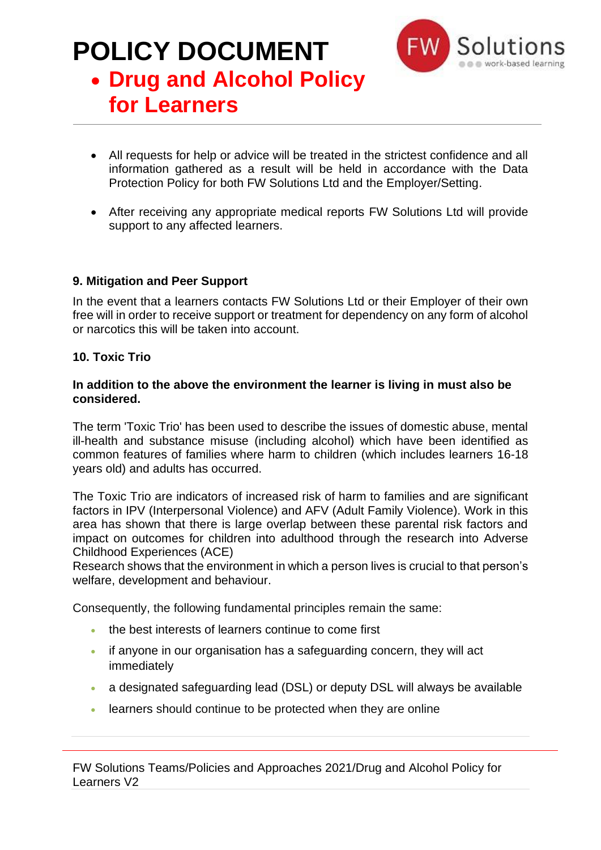

## • **Drug and Alcohol Policy for Learners**

- All requests for help or advice will be treated in the strictest confidence and all information gathered as a result will be held in accordance with the Data Protection Policy for both FW Solutions Ltd and the Employer/Setting.
- After receiving any appropriate medical reports FW Solutions Ltd will provide support to any affected learners.

#### **9. Mitigation and Peer Support**

In the event that a learners contacts FW Solutions Ltd or their Employer of their own free will in order to receive support or treatment for dependency on any form of alcohol or narcotics this will be taken into account.

#### **10. Toxic Trio**

#### **In addition to the above the environment the learner is living in must also be considered.**

The term 'Toxic Trio' has been used to describe the issues of domestic abuse, mental ill-health and substance misuse (including alcohol) which have been identified as common features of families where harm to children (which includes learners 16-18 years old) and adults has occurred.

The Toxic Trio are indicators of increased risk of harm to families and are significant factors in IPV (Interpersonal Violence) and AFV (Adult Family Violence). Work in this area has shown that there is large overlap between these parental risk factors and impact on outcomes for children into adulthood through the research into Adverse Childhood Experiences (ACE)

Research shows that the environment in which a person lives is crucial to that person's welfare, development and behaviour.

Consequently, the following fundamental principles remain the same:

- the best interests of learners continue to come first
- if anyone in our organisation has a safeguarding concern, they will act immediately
- a designated safeguarding lead (DSL) or deputy DSL will always be available
- learners should continue to be protected when they are online